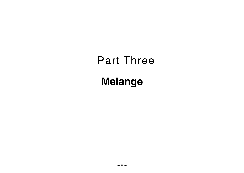## Part Three

## **Melange**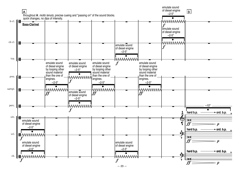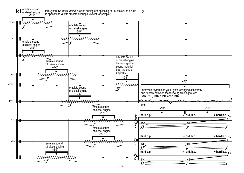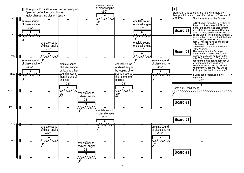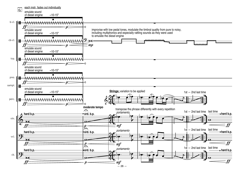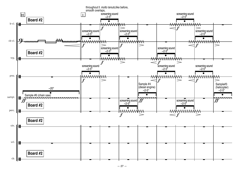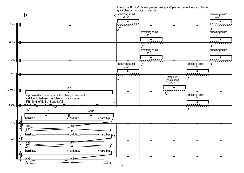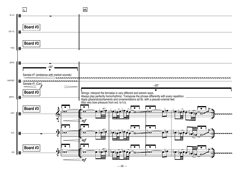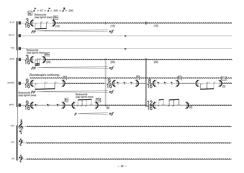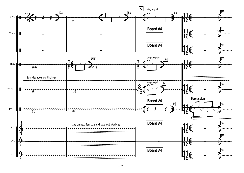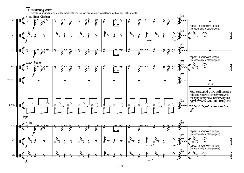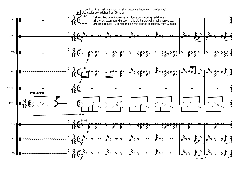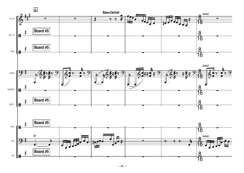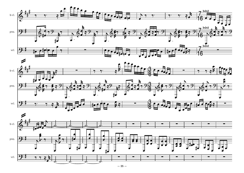



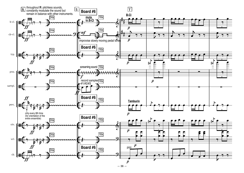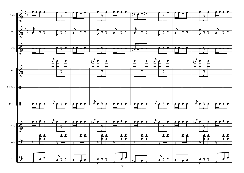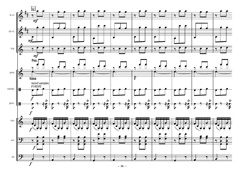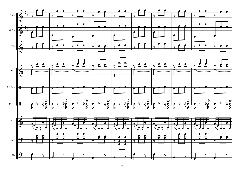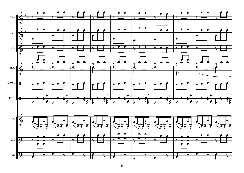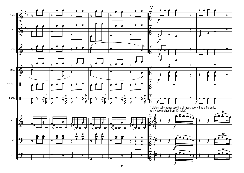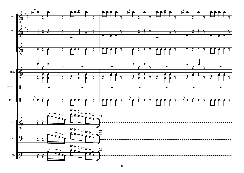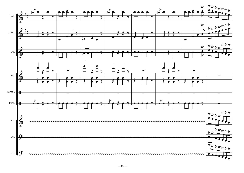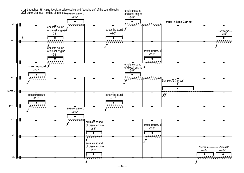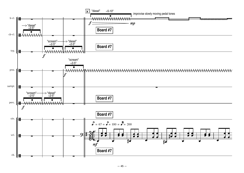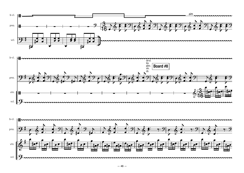



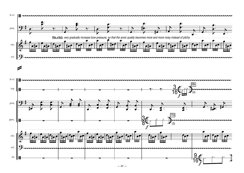

@

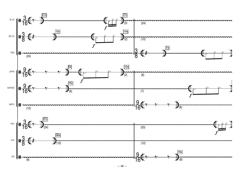